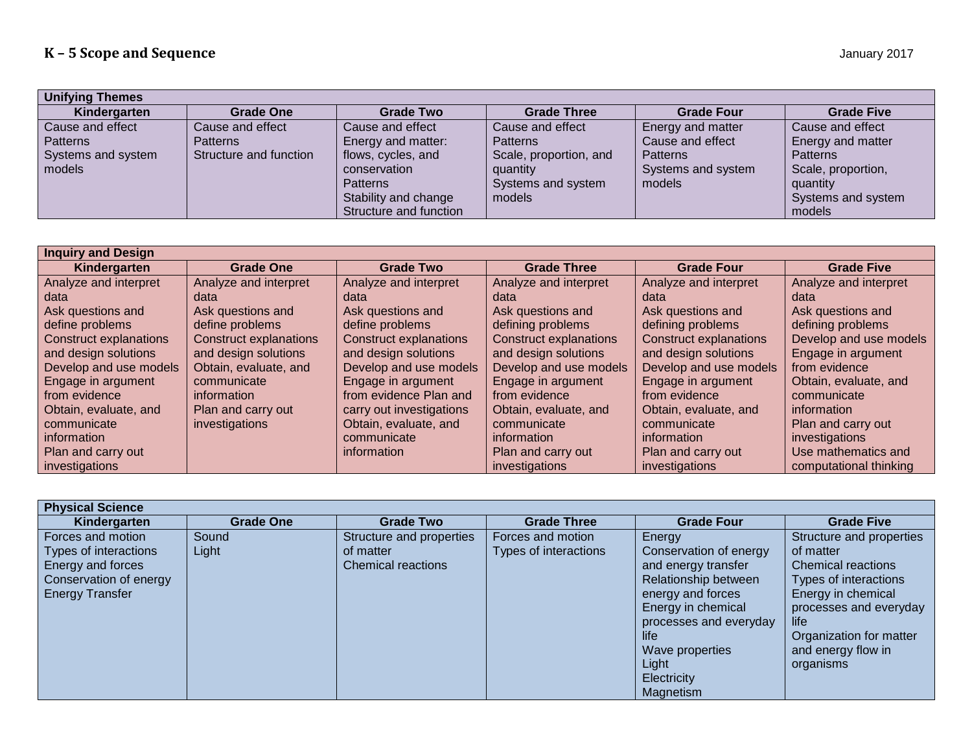| <b>Unifying Themes</b> |                        |                        |                        |                    |                    |  |  |
|------------------------|------------------------|------------------------|------------------------|--------------------|--------------------|--|--|
| Kindergarten           | <b>Grade One</b>       | <b>Grade Two</b>       | <b>Grade Three</b>     | <b>Grade Four</b>  | <b>Grade Five</b>  |  |  |
| Cause and effect       | Cause and effect       | Cause and effect       | Cause and effect       | Energy and matter  | Cause and effect   |  |  |
| l Patterns             | <b>Patterns</b>        | Energy and matter:     | <b>Patterns</b>        | Cause and effect   | Energy and matter  |  |  |
| Systems and system     | Structure and function | flows, cycles, and     | Scale, proportion, and | <b>Patterns</b>    | <b>Patterns</b>    |  |  |
| models                 |                        | conservation           | quantity               | Systems and system | Scale, proportion, |  |  |
|                        |                        | <b>Patterns</b>        | Systems and system     | models             | quantity           |  |  |
|                        |                        | Stability and change   | models                 |                    | Systems and system |  |  |
|                        |                        | Structure and function |                        |                    | models             |  |  |

| <b>Inquiry and Design</b>     |                               |                               |                               |                               |                        |  |
|-------------------------------|-------------------------------|-------------------------------|-------------------------------|-------------------------------|------------------------|--|
| Kindergarten                  | <b>Grade One</b>              | <b>Grade Two</b>              | <b>Grade Three</b>            | <b>Grade Four</b>             | <b>Grade Five</b>      |  |
| Analyze and interpret         | Analyze and interpret         | Analyze and interpret         | Analyze and interpret         | Analyze and interpret         | Analyze and interpret  |  |
| data                          | data                          | data                          | data                          | data                          | data                   |  |
| Ask questions and             | Ask questions and             | Ask questions and             | Ask questions and             | Ask questions and             | Ask questions and      |  |
| define problems               | define problems               | define problems               | defining problems             | defining problems             | defining problems      |  |
| <b>Construct explanations</b> | <b>Construct explanations</b> | <b>Construct explanations</b> | <b>Construct explanations</b> | <b>Construct explanations</b> | Develop and use models |  |
| and design solutions          | and design solutions          | and design solutions          | and design solutions          | and design solutions          | Engage in argument     |  |
| Develop and use models        | Obtain, evaluate, and         | Develop and use models        | Develop and use models        | Develop and use models        | from evidence          |  |
| Engage in argument            | communicate                   | Engage in argument            | Engage in argument            | Engage in argument            | Obtain, evaluate, and  |  |
| from evidence                 | information                   | from evidence Plan and        | from evidence                 | from evidence                 | communicate            |  |
| Obtain, evaluate, and         | Plan and carry out            | carry out investigations      | Obtain, evaluate, and         | Obtain, evaluate, and         | information            |  |
| communicate                   | investigations                | Obtain, evaluate, and         | communicate                   | communicate                   | Plan and carry out     |  |
| information                   |                               | communicate                   | information                   | information                   | investigations         |  |
| Plan and carry out            |                               | information                   | Plan and carry out            | Plan and carry out            | Use mathematics and    |  |
| investigations                |                               |                               | investigations                | investigations                | computational thinking |  |

| <b>Physical Science</b>                                                                                             |                  |                                                                    |                                            |                                                                                                                                                                                                                      |                                                                                                                                                                                                                   |  |  |
|---------------------------------------------------------------------------------------------------------------------|------------------|--------------------------------------------------------------------|--------------------------------------------|----------------------------------------------------------------------------------------------------------------------------------------------------------------------------------------------------------------------|-------------------------------------------------------------------------------------------------------------------------------------------------------------------------------------------------------------------|--|--|
| Kindergarten                                                                                                        | <b>Grade One</b> | <b>Grade Two</b>                                                   | <b>Grade Three</b>                         | <b>Grade Four</b>                                                                                                                                                                                                    | <b>Grade Five</b>                                                                                                                                                                                                 |  |  |
| Forces and motion<br>Types of interactions<br>Energy and forces<br>Conservation of energy<br><b>Energy Transfer</b> | Sound<br>Light   | Structure and properties<br>of matter<br><b>Chemical reactions</b> | Forces and motion<br>Types of interactions | Energy<br>Conservation of energy<br>and energy transfer<br>Relationship between<br>energy and forces<br>Energy in chemical<br>processes and everyday<br>life<br>Wave properties<br>Light<br>Electricity<br>Magnetism | Structure and properties<br>of matter<br><b>Chemical reactions</b><br>Types of interactions<br>Energy in chemical<br>processes and everyday<br>life<br>Organization for matter<br>and energy flow in<br>organisms |  |  |